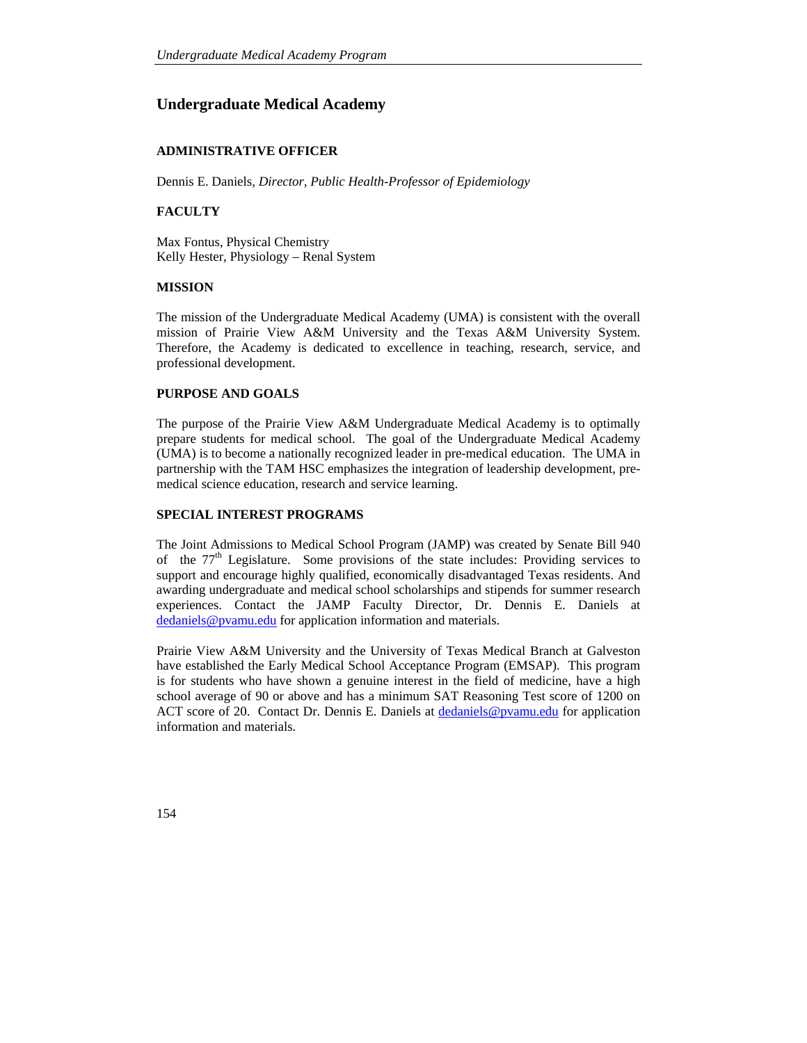# **Undergraduate Medical Academy**

## **ADMINISTRATIVE OFFICER**

Dennis E. Daniels*, Director, Public Health-Professor of Epidemiology*

## **FACULTY**

Max Fontus, Physical Chemistry Kelly Hester, Physiology – Renal System

#### **MISSION**

The mission of the Undergraduate Medical Academy (UMA) is consistent with the overall mission of Prairie View A&M University and the Texas A&M University System. Therefore, the Academy is dedicated to excellence in teaching, research, service, and professional development.

#### **PURPOSE AND GOALS**

The purpose of the Prairie View A&M Undergraduate Medical Academy is to optimally prepare students for medical school. The goal of the Undergraduate Medical Academy (UMA) is to become a nationally recognized leader in pre-medical education. The UMA in partnership with the TAM HSC emphasizes the integration of leadership development, premedical science education, research and service learning.

### **SPECIAL INTEREST PROGRAMS**

The Joint Admissions to Medical School Program (JAMP) was created by Senate Bill 940 of the  $77<sup>th</sup>$  Legislature. Some provisions of the state includes: Providing services to support and encourage highly qualified, economically disadvantaged Texas residents. And awarding undergraduate and medical school scholarships and stipends for summer research experiences. Contact the JAMP Faculty Director, Dr. Dennis E. Daniels at dedaniels@pvamu.edu for application information and materials.

Prairie View A&M University and the University of Texas Medical Branch at Galveston have established the Early Medical School Acceptance Program (EMSAP). This program is for students who have shown a genuine interest in the field of medicine, have a high school average of 90 or above and has a minimum SAT Reasoning Test score of 1200 on ACT score of 20. Contact Dr. Dennis E. Daniels at dedaniels@pvamu.edu for application information and materials.

154